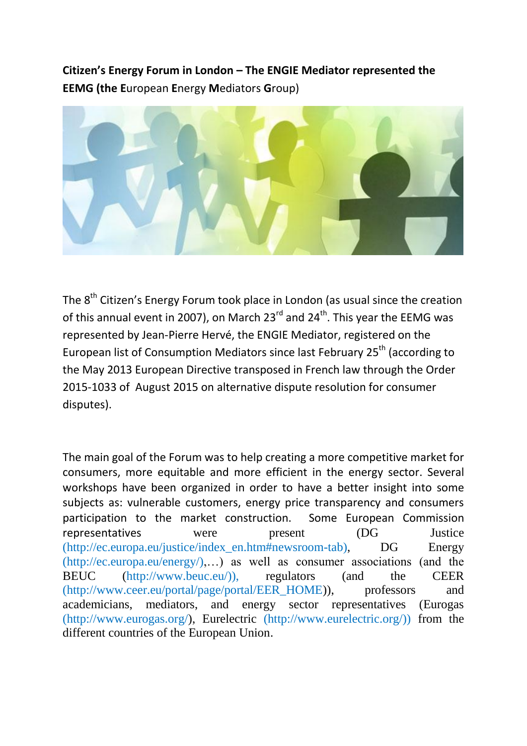**Citizen's Energy Forum in London – The ENGIE Mediator represented the EEMG (the E**uropean **E**nergy **M**ediators **G**roup)



The 8<sup>th</sup> Citizen's Energy Forum took place in London (as usual since the creation of this annual event in 2007), on March 23<sup>rd</sup> and 24<sup>th</sup>. This year the EEMG was represented by Jean-Pierre Hervé, the ENGIE Mediator, registered on the European list of Consumption Mediators since last February 25<sup>th</sup> (according to the May 2013 European Directive transposed in French law through the Order 2015-1033 of August 2015 on alternative dispute resolution for consumer disputes).

The main goal of the Forum was to help creating a more competitive market for consumers, more equitable and more efficient in the energy sector. Several workshops have been organized in order to have a better insight into some subjects as: vulnerable customers, energy price transparency and consumers participation to the market construction. Some European Commission representatives were present (DG Justice (http://ec.europa.eu/justice/index\_en.htm#newsroom-tab), DG Energy  $(\text{http://ec.europa.eu/energy/),...)}$  as well as consumer associations (and the BEUC (http://www.beuc.eu/)), regulators (and the CEER (http://www.ceer.eu/portal/page/portal/EER\_HOME)), professors and academicians, mediators, and energy sector representatives (Eurogas (http://www.eurogas.org/), Eurelectric (http://www.eurelectric.org/)) from the different countries of the European Union.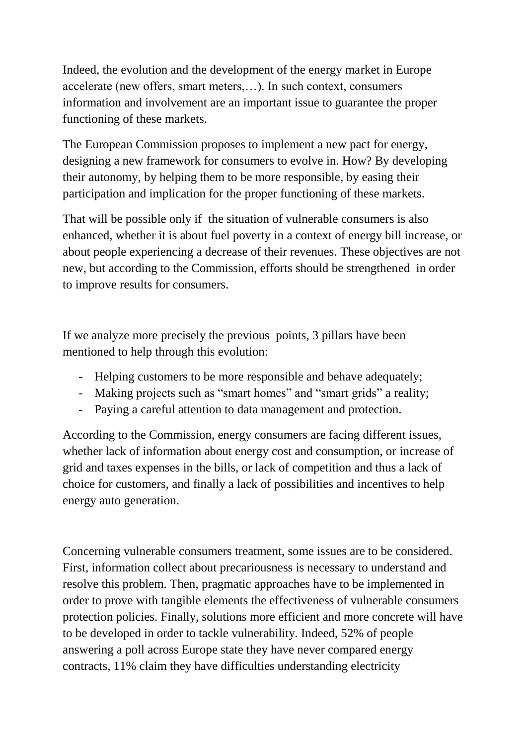Indeed, the evolution and the development of the energy market in Europe accelerate (new offers, smart meters,…). In such context, consumers information and involvement are an important issue to guarantee the proper functioning of these markets.

The European Commission proposes to implement a new pact for energy, designing a new framework for consumers to evolve in. How? By developing their autonomy, by helping them to be more responsible, by easing their participation and implication for the proper functioning of these markets.

That will be possible only if the situation of vulnerable consumers is also enhanced, whether it is about fuel poverty in a context of energy bill increase, or about people experiencing a decrease of their revenues. These objectives are not new, but according to the Commission, efforts should be strengthened in order to improve results for consumers.

If we analyze more precisely the previous points, 3 pillars have been mentioned to help through this evolution:

- Helping customers to be more responsible and behave adequately;
- Making projects such as "smart homes" and "smart grids" a reality;
- Paying a careful attention to data management and protection.

According to the Commission, energy consumers are facing different issues, whether lack of information about energy cost and consumption, or increase of grid and taxes expenses in the bills, or lack of competition and thus a lack of choice for customers, and finally a lack of possibilities and incentives to help energy auto generation.

Concerning vulnerable consumers treatment, some issues are to be considered. First, information collect about precariousness is necessary to understand and resolve this problem. Then, pragmatic approaches have to be implemented in order to prove with tangible elements the effectiveness of vulnerable consumers protection policies. Finally, solutions more efficient and more concrete will have to be developed in order to tackle vulnerability. Indeed, 52% of people answering a poll across Europe state they have never compared energy contracts, 11% claim they have difficulties understanding electricity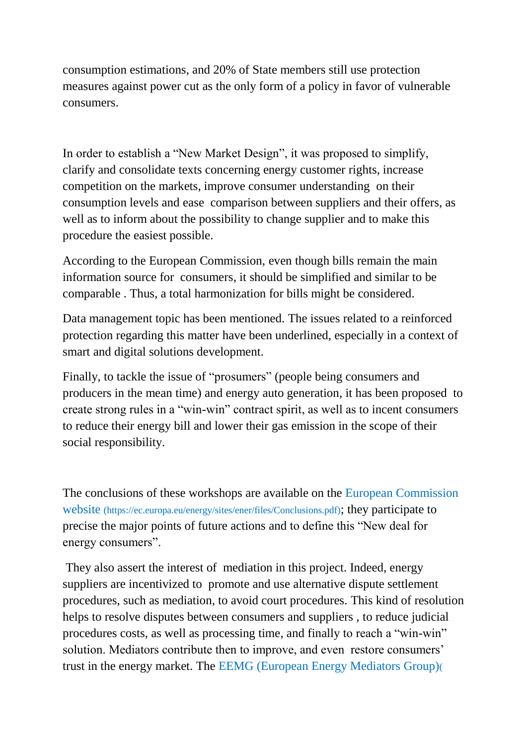consumption estimations, and 20% of State members still use protection measures against power cut as the only form of a policy in favor of vulnerable consumers.

In order to establish a "New Market Design", it was proposed to simplify, clarify and consolidate texts concerning energy customer rights, increase competition on the markets, improve consumer understanding on their consumption levels and ease comparison between suppliers and their offers, as well as to inform about the possibility to change supplier and to make this procedure the easiest possible.

According to the European Commission, even though bills remain the main information source for consumers, it should be simplified and similar to be comparable . Thus, a total harmonization for bills might be considered.

Data management topic has been mentioned. The issues related to a reinforced protection regarding this matter have been underlined, especially in a context of smart and digital solutions development.

Finally, to tackle the issue of "prosumers" (people being consumers and producers in the mean time) and energy auto generation, it has been proposed to create strong rules in a "win-win" contract spirit, as well as to incent consumers to reduce their energy bill and lower their gas emission in the scope of their social responsibility.

The conclusions of these workshops are available on the European Commission website (https://ec.europa.eu/energy/sites/ener/files/Conclusions.pdf); they participate to precise the major points of future actions and to define this "New deal for energy consumers".

They also assert the interest of mediation in this project. Indeed, energy suppliers are incentivized to promote and use alternative dispute settlement procedures, such as mediation, to avoid court procedures. This kind of resolution helps to resolve disputes between consumers and suppliers , to reduce judicial procedures costs, as well as processing time, and finally to reach a "win-win" solution. Mediators contribute then to improve, and even restore consumers' trust in the energy market. The EEMG (European Energy Mediators Group)(